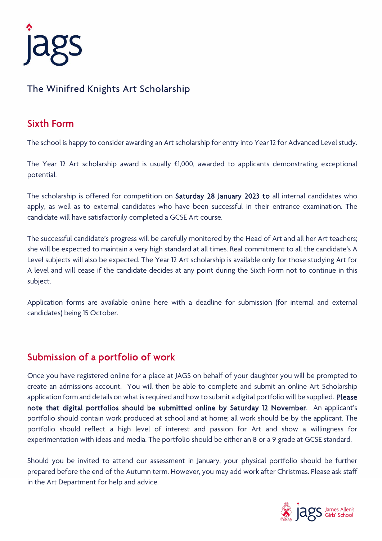

## The Winifred Knights Art Scholarship

#### Sixth Form

The school is happy to consider awarding an Art scholarship for entry into Year 12 for Advanced Level study.

The Year 12 Art scholarship award is usually £1,000, awarded to applicants demonstrating exceptional potential.

The scholarship is offered for competition on Saturday 28 January 2023 to all internal candidates who apply, as well as to external candidates who have been successful in their entrance examination. The candidate will have satisfactorily completed a GCSE Art course.

The successful candidate's progress will be carefully monitored by the Head of Art and all her Art teachers; she will be expected to maintain a very high standard at all times. Real commitment to all the candidate's A Level subjects will also be expected. The Year 12 Art scholarship is available only for those studying Art for A level and will cease if the candidate decides at any point during the Sixth Form not to continue in this subject.

Application forms are available online here with a deadline for submission (for internal and external candidates) being 15 October.

### Submission of a portfolio of work

Once you have registered online for a place at JAGS on behalf of your daughter you will be prompted to create an admissions account. You will then be able to complete and submit an online Art Scholarship application form and details on what is required and how to submit a digital portfolio will be supplied. Please note that digital portfolios should be submitted online by Saturday 12 November. An applicant's portfolio should contain work produced at school and at home; all work should be by the applicant. The portfolio should reflect a high level of interest and passion for Art and show a willingness for experimentation with ideas and media. The portfolio should be either an 8 or a 9 grade at GCSE standard.

Should you be invited to attend our assessment in January, your physical portfolio should be further prepared before the end of the Autumn term. However, you may add work after Christmas. Please ask staff in the Art Department for help and advice.